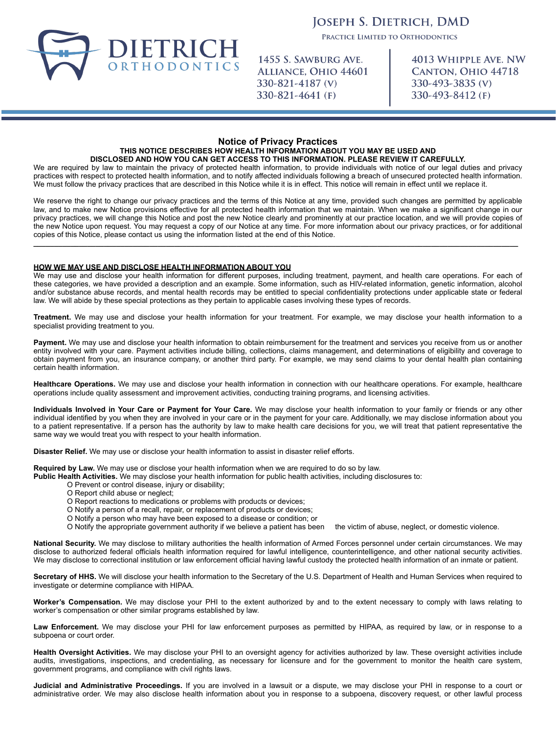

# JOSEPH S. DIETRICH, DMD

PRACTICE LIMITED TO ORTHODONTICS

1455 S. SAWBURG AVE. **ALLIANCE, OHIO 44601** 330-821-4187 (V) 330-821-4641 (F)

4013 WHIPPLE AVE. NW **CANTON, OHIO 44718** 330-493-3835 (V) 330-493-8412(F)

# **Notice of Privacy Practices**

#### **THIS NOTICE DESCRIBES HOW HEALTH INFORMATION ABOUT YOU MAY BE USED AND DISCLOSED AND HOW YOU CAN GET ACCESS TO THIS INFORMATION. PLEASE REVIEW IT CAREFULLY.**

We are required by law to maintain the privacy of protected health information, to provide individuals with notice of our legal duties and privacy practices with respect to protected health information, and to notify affected individuals following a breach of unsecured protected health information. We must follow the privacy practices that are described in this Notice while it is in effect. This notice will remain in effect until we replace it.

We reserve the right to change our privacy practices and the terms of this Notice at any time, provided such changes are permitted by applicable law, and to make new Notice provisions effective for all protected health information that we maintain. When we make a significant change in our privacy practices, we will change this Notice and post the new Notice clearly and prominently at our practice location, and we will provide copies of the new Notice upon request. You may request a copy of our Notice at any time. For more information about our privacy practices, or for additional copies of this Notice, please contact us using the information listed at the end of this Notice.

**\_\_\_\_\_\_\_\_\_\_\_\_\_\_\_\_\_\_\_\_\_\_\_\_\_\_\_\_\_\_\_\_\_\_\_\_\_\_\_\_\_\_\_\_\_\_\_\_\_\_\_\_\_\_\_\_\_\_\_\_\_\_\_\_\_\_\_\_\_\_\_\_\_\_\_\_\_\_\_\_\_\_\_\_\_\_\_\_\_\_\_\_\_\_\_\_\_\_\_\_\_\_\_\_\_\_\_\_\_\_\_\_\_\_\_\_\_** 

# **HOW WE MAY USE AND DISCLOSE HEALTH INFORMATION ABOUT YOU**

We may use and disclose your health information for different purposes, including treatment, payment, and health care operations. For each of these categories, we have provided a description and an example. Some information, such as HIV-related information, genetic information, alcohol and/or substance abuse records, and mental health records may be entitled to special confidentiality protections under applicable state or federal law. We will abide by these special protections as they pertain to applicable cases involving these types of records.

**Treatment.** We may use and disclose your health information for your treatment. For example, we may disclose your health information to a specialist providing treatment to you.

Payment. We may use and disclose your health information to obtain reimbursement for the treatment and services you receive from us or another entity involved with your care. Payment activities include billing, collections, claims management, and determinations of eligibility and coverage to obtain payment from you, an insurance company, or another third party. For example, we may send claims to your dental health plan containing certain health information.

**Healthcare Operations.** We may use and disclose your health information in connection with our healthcare operations. For example, healthcare operations include quality assessment and improvement activities, conducting training programs, and licensing activities.

**Individuals Involved in Your Care or Payment for Your Care.** We may disclose your health information to your family or friends or any other individual identified by you when they are involved in your care or in the payment for your care. Additionally, we may disclose information about you to a patient representative. If a person has the authority by law to make health care decisions for you, we will treat that patient representative the same way we would treat you with respect to your health information.

**Disaster Relief.** We may use or disclose your health information to assist in disaster relief efforts.

**Required by Law.** We may use or disclose your health information when we are required to do so by law.

**Public Health Activities.** We may disclose your health information for public health activities, including disclosures to:

- O Prevent or control disease, injury or disability;
- O Report child abuse or neglect;
- O Report reactions to medications or problems with products or devices;
- O Notify a person of a recall, repair, or replacement of products or devices;
- O Notify a person who may have been exposed to a disease or condition; or
- O Notify the appropriate government authority if we believe a patient has been the victim of abuse, neglect, or domestic violence.

**National Security.** We may disclose to military authorities the health information of Armed Forces personnel under certain circumstances. We may disclose to authorized federal officials health information required for lawful intelligence, counterintelligence, and other national security activities. We may disclose to correctional institution or law enforcement official having lawful custody the protected health information of an inmate or patient.

**Secretary of HHS.** We will disclose your health information to the Secretary of the U.S. Department of Health and Human Services when required to investigate or determine compliance with HIPAA.

**Worker's Compensation.** We may disclose your PHI to the extent authorized by and to the extent necessary to comply with laws relating to worker's compensation or other similar programs established by law.

Law Enforcement. We may disclose your PHI for law enforcement purposes as permitted by HIPAA, as required by law, or in response to a subpoena or court order.

**Health Oversight Activities.** We may disclose your PHI to an oversight agency for activities authorized by law. These oversight activities include audits, investigations, inspections, and credentialing, as necessary for licensure and for the government to monitor the health care system, government programs, and compliance with civil rights laws.

**Judicial and Administrative Proceedings.** If you are involved in a lawsuit or a dispute, we may disclose your PHI in response to a court or administrative order. We may also disclose health information about you in response to a subpoena, discovery request, or other lawful process